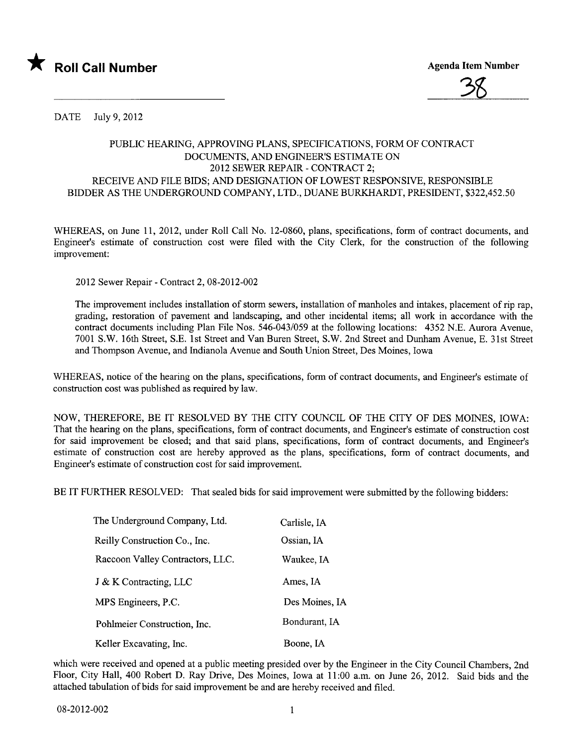



DATE July 9, 2012

## PUBLIC HEARING, APPROVING PLANS, SPECIFICATIONS, FORM OF CONTRACT DOCUMENTS, AND ENGINEER'S ESTIMATE ON 2012 SEWER REPAIR - CONTRACT 2; RECEIVE AND FILE BIDS; AND DESIGNATION OF LOWEST RESPONSIVE, RESPONSIBLE BIDDER AS THE UNDERGROUND COMPAN, LTD., DUANE BURKARDT, PRESIDENT, \$322,452.50

WHEREAS, on June 11, 2012, under Roll Call No. 12-0860, plans, specifications, form of contract documents, and Engineer's estimate of construction cost were fied with the City Clerk, for the construction of the following improvement:

2012 Sewer Repair - Contract 2,08-2012-002

The improvement includes installation of storm sewers, installation of manholes and intakes, placement of rip rap, grading, restoration of pavement and landscaping, and other incidental items; all work in accordance with the contract documents including Plan File Nos. 546-043/059 at the following locations: 4352 N.E. Aurora Avenue, 7001 S.W. 16th Street, S.E. 1st Street and Van Buren Street, S.W. 2nd Street and Dunham Avenue, E. 31st Street and Thompson Avenue, and Indianola Avenue and South Union Street, Des Moines, Iowa

WHEREAS, notice of the hearing on the plans, specifications, form of contract documents, and Engineer's estimate of construction cost was published as required by law.

NOW, THEREFORE, BE IT RESOLVED BY THE CITY COUNCIL OF THE CITY OF DES MOINES, IOWA: That the hearing on the plans, specifications, form of contract documents, and Engineer's estimate of construction cost for said improvement be closed; and that said plans, specifications, form of contract documents, and Engineer's estimate of construction cost are hereby approved as the plans, specifications, form of contract documents, and Engineer's estimate of construction cost for said improvement.

BE IT FURTHER RESOLVED: That sealed bids for said improvement were submitted by the following bidders:

| The Underground Company, Ltd.    | Carlisle, IA   |
|----------------------------------|----------------|
| Reilly Construction Co., Inc.    | Ossian, IA     |
| Raccoon Valley Contractors, LLC. | Waukee, IA     |
| J & K Contracting, LLC           | Ames, IA       |
| MPS Engineers, P.C.              | Des Moines, IA |
| Pohlmeier Construction, Inc.     | Bondurant, IA  |
| Keller Excavating, Inc.          | Boone, IA      |

which were received and opened at a public meeting presided over by the Engineer in the City Council Chambers, 2nd Floor, City Hall, 400 Robert D. Ray Drive, Des Moines, Iowa at 11:00 a.m. on June 26, 2012. Said bids and the attached tabulation of bids for said improvement be and are hereby received and filed.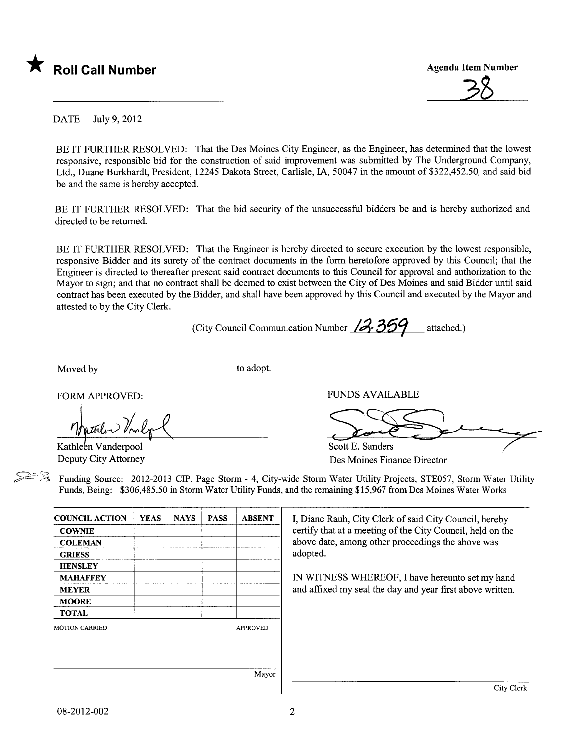

3ß

DATE July 9,2012

BE IT FURTHER RESOLVED: That the Des Moines City Engineer, as the Engineer, has determined that the lowest responsive, responsible bid for the construction of said improvement was submitted by The Underground Company, Ltd., Duane Burkhardt, President, 12245 Dakota Street, Carlisle, lA, 50047 in the amount of \$322,452.50, and said bid be and the same is hereby accepted.

BE IT FURTHER RESOLVED: That the bid security of the unsuccessful bidders be and is hereby authorized and directed to be returned.

BE IT FURTHER RESOLVED: That the Engineer is hereby directed to secure execution by the lowest responsible, responsive Bidder and its surety of the contract documents in the form heretofore approved by this Council; that the Engineer is directed to thereafter present said contract documents to this Council for approval and authorization to the Mayor to sign; and that no contract shall be deemed to exist between the City of Des Moines and said Bidder until said contract has been executed by the Bidder, and shall have been approved by this Council and executed by the Mayor and attested to by the City Clerk.

(City Council Communication Number  $/3.359$  attached.)

Moved by to adopt.

FORM APPROVED:

Kathleen Vanderpool Deputy City Attorney

FUNDS AVAILABLE Scott E. Sanders  $\overline{\phantom{a}}$ 

Des Moines Finance Director

Funding Source: 2012-2013 CIP, Page Storm - 4, City-wide Storm Water Utility Projects, STE057, Storm Water Utility Funds, Being: \$306,485.50 in Storm Water Utility Funds, and the remaining \$15,967 from Des Moines Water Works

| <b>COUNCIL ACTION</b> | <b>YEAS</b> | <b>NAYS</b> | <b>PASS</b> | <b>ABSENT</b>   |
|-----------------------|-------------|-------------|-------------|-----------------|
| <b>COWNIE</b>         |             |             |             |                 |
| <b>COLEMAN</b>        |             |             |             |                 |
| <b>GRIESS</b>         |             |             |             |                 |
| <b>HENSLEY</b>        |             |             |             |                 |
| <b>MAHAFFEY</b>       |             |             |             |                 |
| <b>MEYER</b>          |             |             |             |                 |
| <b>MOORE</b>          |             |             |             |                 |
| <b>TOTAL</b>          |             |             |             |                 |
| <b>MOTION CARRIED</b> |             |             |             | <b>APPROVED</b> |
|                       |             |             |             |                 |
|                       |             |             |             |                 |
|                       |             |             |             |                 |
|                       |             |             |             | Mayor           |

I, Diane Rauh, City Clerk of said City Council, hereby certify that at a meeting of the City Council, held on the above date, among other proceedings the above was adopted.

IN WITNESS WHEREOF, I have hereunto set my hand and affixed my seal the day and year first above written.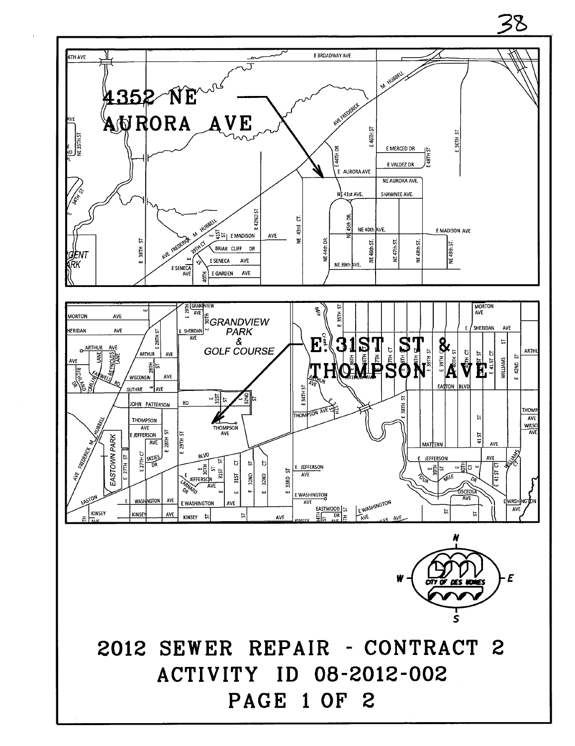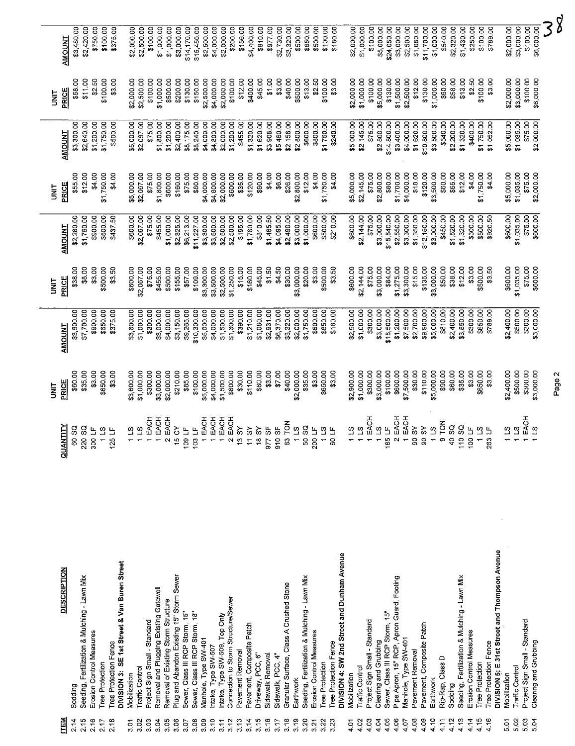|             |                    |                     |                                              |                          |                 |                       |                                              |            |                 |                               |                                        |                                     |                                           |                                 |                                 |                             |                     |                               |                                     |                             |                               |                    |                  |                   |                                                           |                            |                                              |                          |                                                   |                       |                                             |              |                        |                               |                       |             |                                                                              |                      |                  |                               |                |                  |                 |                                              |                                  |                        |                       |                                               |              |                 |                                                        |            | 38     |
|-------------|--------------------|---------------------|----------------------------------------------|--------------------------|-----------------|-----------------------|----------------------------------------------|------------|-----------------|-------------------------------|----------------------------------------|-------------------------------------|-------------------------------------------|---------------------------------|---------------------------------|-----------------------------|---------------------|-------------------------------|-------------------------------------|-----------------------------|-------------------------------|--------------------|------------------|-------------------|-----------------------------------------------------------|----------------------------|----------------------------------------------|--------------------------|---------------------------------------------------|-----------------------|---------------------------------------------|--------------|------------------------|-------------------------------|-----------------------|-------------|------------------------------------------------------------------------------|----------------------|------------------|-------------------------------|----------------|------------------|-----------------|----------------------------------------------|----------------------------------|------------------------|-----------------------|-----------------------------------------------|--------------|-----------------|--------------------------------------------------------|------------|--------|
|             | <b>AMOUNT</b>      | \$3,480.00          | \$2,420.00                                   | \$750.00                 | \$100.00        | \$375.00              |                                              | \$2,000.00 | \$2,500.00      | \$100.00                      | \$1,000.00                             | \$1,000.00                          | \$3,000.00                                | \$14,170.00                     |                                 | $$15,450.00$<br>$$2,500.00$ |                     | \$4,000.00<br>\$2,000.00      | \$200.00                            | \$156.00                    | \$4,400.00                    | \$810.00           | \$977.00         | \$2,730.00        | \$3,320.00                                                |                            | \$500.00<br>\$650.00                         | \$500.00                 | \$100.00                                          | \$180.00              |                                             | \$2,000.00   | \$1,000.00             | \$100.00                      | \$5,000.00            | \$24,050.00 | \$3,000.00                                                                   | \$2,500.00           | \$1,080.00       | \$11,700.00                   | \$1,000.00     | \$540.00         | \$2,320.00      | \$1,430.00                                   | \$250.00                         | \$100.00               | \$789.00              |                                               | \$2,000.00   | \$3,000.00      | \$100.00                                               | \$6,000.00 |        |
| <b>TINL</b> | PRICE              | \$58.00             | \$11.00                                      | \$2.50                   | \$100.00        | \$3.00                |                                              | \$2,000.00 | \$2,500.00      | \$100.00                      | \$1,000.00                             | \$500.00                            | \$200.00                                  | \$130.00                        | \$150.00                        | \$2,500.00                  |                     | \$4,000.00<br>\$2,000.00      | \$100.00                            | \$12.00                     | \$400.00                      | \$45.00            | \$1.00           | \$3.00            | \$40.00                                                   | \$500.00                   | \$13.00                                      | \$2.50                   | \$100.00                                          | \$3.00                |                                             | \$2,000.00   | \$1,000.00             | \$100.00                      | \$5,000.00            | \$130.00    | \$1,500.00                                                                   | \$2,500.00           | \$12.00          | \$130.00                      | \$1,000.00     | \$60.00          | \$58.00         | \$13.00                                      | \$2.50                           | \$100.00               | \$3.00                |                                               | \$2,000.00   | \$3,000.00      | \$100.00<br>\$6,000.00                                 |            |        |
|             | <b>AMOUNT</b>      | \$3,300.00          | \$2,640.00                                   | \$1,200.00               | \$1,750.00      | \$500.00              |                                              | \$5,000.00 | \$2,067.00      | \$75.00                       | \$1,800.00                             | \$1,200.00                          | \$2,400.00                                | \$8,175.00                      | \$8,240.00                      | \$4,000.00                  | \$4,800.00          | \$2,000.00                    | \$1,200.00                          | \$455.00                    | \$1,320.00                    | \$1,620.00         | \$3,908.00       | \$5,460.00        | \$2,158.00                                                | \$2,800.00                 | \$600.00                                     | \$800.00                 | \$1,750.00                                        | \$240.00              |                                             | \$5,000.00   | \$2,145.00             | \$75.00                       | \$2,800.00            | \$14,800.00 | \$3,400.00                                                                   | \$4,000.00           | \$1,620.00       | \$10,800.00                   | \$3,500.00     | \$540.00         | \$2,200.00      | \$1,320.00                                   | \$400.00                         | \$1,750.00             | \$1,052.00            |                                               | \$5,000.00   | \$1,035.00      | \$75.00<br>\$2,000.00                                  |            |        |
| i<br>3      | PRICE              | \$55.00             | \$12.00                                      | \$4.00                   | \$1,750.00      | \$4.00                |                                              | \$5,000.00 | \$2,067.00      | \$75.00                       | \$1,800.00                             | \$600.00                            | \$160.00                                  | \$75.00                         | \$80.00                         | \$4,000.00                  | \$4,800.00          | \$2,000.00                    | \$600.00                            | \$35.00                     | \$120.00                      | \$90.00            | \$4.00           | \$6.00            | \$26.00                                                   | \$2,800.00                 | \$12.00                                      | \$4.00                   | \$1,750.00                                        | \$4.00                |                                             | \$5,000.00   | \$2,145.00             | \$75.00                       | \$2,800.00            | \$80.00     | \$1,700.00                                                                   | \$4,000.00           | \$18.00          | \$120.00                      | \$3,500.00     | \$60.00          | \$55.00         | \$12.00                                      | \$4.00                           | \$1,750.00             | \$4.00                |                                               | \$5,000.00   | \$1,035.00      | \$75.00<br>\$2,000.00                                  |            |        |
|             | <b>AMOUNT</b>      | \$2,280.00          | \$1,760.00                                   | \$900.00                 | \$500.00        | \$437.50              |                                              | \$600.00   | \$2,067.00      | \$75.00                       | \$455.00                               | \$1,000.00                          | \$2,325.00                                | \$6,213.00                      | \$11,227.00                     | \$3,300.00                  | \$3,500.00          | \$2,500.00                    | \$2,500.00                          | \$195.00                    | \$1,760.00                    | \$810.00           | \$1,465.50       | \$4,095.00        | \$2,490.00                                                | \$3,000.00                 | \$1,000.00                                   | \$600.00                 | \$500.00                                          | \$210.00              |                                             | \$600.00     | \$2,144.00             | \$75.00                       | \$3,000.00            | \$15,540.00 | \$2,550.00                                                                   | \$3,300.00           | \$1,350.00       | \$12,150.00                   | \$3,000.00     | \$450.00         | \$1,520.00      | \$1,320.00                                   | \$300.00                         | \$500.00               | \$920.50              |                                               | \$600.00     | \$1,035.00      | \$600.00<br>\$75.00                                    |            |        |
| i<br>3      | PRICE              | \$38.00             | \$8.00                                       | \$3.00                   | \$500.00        | \$3.50                |                                              | \$600.00   | \$2,067.00      | \$75.00                       | \$455.00                               | \$500.00                            | \$155.00                                  | \$57.00                         | \$109.00                        | \$3,300.00                  | \$3,500.00          | \$2,500.00                    | \$1,250.00                          | \$15.00                     | \$160.00                      | \$45.00            | \$1.50           | \$4.50            | \$30.00                                                   | \$3,000.00                 | \$20.00                                      | \$3.00                   | \$500.00                                          | \$3.50                |                                             | \$600.00     | \$2,144.00             | \$75.00                       | \$3,000.00            | \$84.00     | \$1,275.00                                                                   | \$3,300.00           | \$15.00          | \$135.00                      | \$3,000.00     | \$50.00          | \$38.00         | \$12.00                                      | \$3.00                           | \$500.00               | \$3.50                |                                               | \$600.00     | \$1,035.00      | \$75.00<br>\$600.00                                    |            |        |
|             | <b>AMOUNT</b>      | \$3,600.00          | \$7,700.00                                   | \$900.00                 | \$650.00        | \$375.00              |                                              | \$3,600.00 | \$1,000.00      | \$300.00                      | \$3,000.00                             | \$4,000.00                          | \$3,150.00                                | \$9,265.00                      | \$10,300.00                     | \$5,000.00                  | \$4,000.00          | \$1,500.00                    | \$1,600.00                          | \$390.00                    | \$1,210.00                    | \$1,080.00         | \$2,931.00       | \$6,370.00        | \$3,320.00                                                | \$2,000.00                 | \$1,750.00                                   | \$600.00                 | \$650.00                                          | \$180.00              |                                             | \$2,900.00   | \$1,000.00             | \$300.00                      | \$3,000.00            | \$18,500.00 | \$1,200.00                                                                   | \$7,500.00           | \$2,700.00       | \$9,900.00                    | \$5,000.00     | \$810.00         | \$2,400.00      | \$3,850.00                                   | \$300.00                         | \$650.00               | \$789.00              |                                               | \$2,400.00   | \$500.00        | \$300.00<br>\$3,000.00                                 |            |        |
| i<br>M      | PRICE              | \$60.00             | \$35.00                                      | \$3.00                   | \$650.00        | \$3.00                |                                              | \$3,600.00 | \$1,000.00      | \$300.00                      | \$3,000.00                             | \$2,000.00                          | \$210.00                                  | \$85.00                         | \$100.00                        | \$5,000.00                  | \$4,000.00          | \$1,500.00                    | \$800.00                            | \$30.00                     | \$110.00                      | \$60.00            | \$3.00           | \$7.00            | \$40.00                                                   | \$2,000.00                 | \$35.00                                      | \$3.00                   | \$650.00                                          | \$3.00                |                                             | \$2,900.00   | \$1,000.00             | \$300.00                      | \$3,000.00            | \$100.00    | \$600.00                                                                     | \$7,500.00           | \$30.00          | \$110.00                      | \$5,000.00     | \$90.00          | \$60.00         | \$35.00                                      | \$3.00                           | \$650.00               | \$3.00                |                                               | \$2,400.00   | \$500.00        | \$300.00<br>\$3,000.00                                 |            | Page 2 |
|             | 티<br><b>QUANTI</b> | g<br>$\overline{8}$ | g<br>20                                      | Щ<br>300                 | <u>୍</u>        | щ<br>125              |                                              | ဖ္ ဖ       |                 | EACH                          | EACH                                   | EACH<br>$\mathbf{\Omega}$           | $\delta$<br>$\frac{15}{1}$                | 또 뜨<br>$^{109}$                 | 103                             | EACH                        | EACH                |                               | EACH<br>EACH                        | $\delta$<br>$\ddot{\omega}$ | ৯<br>$\overline{\mathcal{L}}$ | ৯<br>$\frac{8}{2}$ | ٣Ŗ<br>977        | ს.<br>თ           | řΩ<br>$\overset{\mathtt{o}}{\varepsilon}$<br>$\mathtt{s}$ | $\Omega$<br>$\overline{a}$ | g                                            | $\frac{u}{-}$            | ၯ<br>$\begin{array}{c} 50 \\ 20 \\ 0 \end{array}$ | ۳<br>8                |                                             | S            | S)                     | EACH                          |                       | g u<br>185  | EACH<br>$\sim$ $\sim$                                                        | EACH                 | $\delta$         | $\delta$<br>$\rm{S}$ $\rm{S}$ | S.<br>$ \circ$ | $\overline{5}$   | g<br>$\ddot{a}$ | g<br>110                                     | $\overline{H}$<br>$\overline{0}$ | ى<br>تا                | 263                   |                                               | တ္ တ         |                 | EACH<br>$\Omega$                                       |            |        |
|             |                    |                     |                                              |                          |                 |                       |                                              |            |                 |                               |                                        |                                     |                                           |                                 |                                 |                             |                     |                               |                                     |                             |                               |                    |                  |                   |                                                           |                            |                                              |                          |                                                   |                       |                                             |              |                        |                               |                       |             |                                                                              |                      |                  |                               |                |                  |                 |                                              |                                  |                        |                       |                                               |              |                 |                                                        |            |        |
|             |                    |                     |                                              |                          |                 |                       |                                              |            |                 |                               |                                        |                                     |                                           |                                 |                                 |                             |                     |                               |                                     |                             |                               |                    |                  |                   |                                                           |                            |                                              |                          |                                                   |                       |                                             |              |                        |                               |                       |             |                                                                              |                      |                  |                               |                |                  |                 |                                              |                                  |                        |                       |                                               |              |                 |                                                        |            |        |
|             | <b>DESCRIPTION</b> |                     | Seeding, Fertilization & Mulching - Lawn Mix |                          |                 |                       | DIVISION 3: SE 1st Street & Van Buren Street |            |                 |                               | Removal and Plugging Existing Gatewell | Removal of Existing Storm Structure | Plug and Abandon Existing 15" Storm Sewer |                                 |                                 |                             |                     |                               | Connection to Storm Structure/Sewer |                             |                               |                    |                  |                   | Granular Surface, Class A Crushed Stone                   |                            | Seeding, Fertilization & Mulching - Lawn Mix |                          |                                                   |                       | DIVISION 4: SW 2nd Street and Dunham Avenue |              |                        |                               |                       |             | Sewer, Class III RCP Storm, 15"<br>Pipe Apron, 15" RCP, Apron Guard, Footing |                      |                  |                               |                |                  |                 | Seeding, Fertilization & Mulching - Lawn Mix |                                  |                        |                       | DIVISION 5: E 31st Street and Thompson Avenue |              |                 |                                                        |            |        |
|             |                    | Sodding             |                                              | Erosion Control Measures | Tree Protection | Tree Protection Fence | Mobilization                                 |            | Traffic Control | Project Sign Small - Standard |                                        |                                     |                                           | Sewer, Class III RCP Storm, 15" | Sewer, Class III RCP Storm, 18" | Manhole, Type SW-401        | Intake, Type SW-507 | Intake, Type SW-509, Top Only |                                     | Pavement Remova             | Pavement, Composite Patch     | Driveway, PCC, 6"  | Sidewalk Removal | Sidewalk, PCC, 4" |                                                           | Earthwork                  |                                              | Erosion Control Measures | Tree Protection                                   | Tree Protection Fence |                                             | Mobilization | <b>Traffic Control</b> | Project Sign Small - Standard | Clearing and Grubbing |             |                                                                              | Manhole, Type SW-401 | Pavement Removal | Pavement, Composite Patch     | Earthwork      | Rip-Rap, Class D | Sodding         |                                              | Erosion Control Measures         | <b>Tree Protection</b> | Tree Protection Fence |                                               | Mobilization | Traffic Control | Project Sign Small - Standard<br>Clearing and Grubbing |            |        |
|             | <b>ITEM</b>        | 2.14                | 2.15                                         | 2.16                     | 2.17            | 2.18                  | 5<br>3.O                                     | 3.02       |                 | 3.03                          | 3.04                                   | 3.05                                | 3.06                                      | 3.07                            | 3.08                            | 3.09                        | 3.10                | 3.11                          | 3.12                                | 3.13                        | 3.14                          | 3.15               | 3.16             | 3.17              | 3.18                                                      | 3.19                       | 3.20                                         | 3.21                     | 3.22                                              | 3.23                  |                                             | 4.01         | 4.02                   | 4.03                          | 4.04                  | 4.05        | 4.06                                                                         | 4.07                 | 4.08             | 4.09                          | 4.10           | 4.11             | 4.12            | 4.13                                         | 4.14                             | 4.15                   | 4.16                  |                                               | 5.01         | 5.02<br>5.03    | 5.04                                                   |            |        |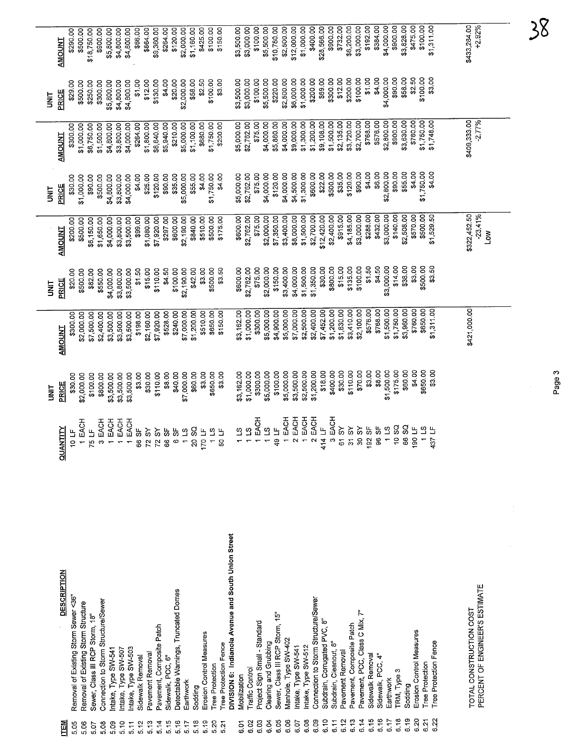|        | <b>AMOUNT</b>      | \$290.00                             | \$500.00                            | \$18,750.00                     | \$900.00                            | \$5,800.00         | \$4,800.00         | \$4,800.00             | \$66.00          | \$864.00                   | \$9,360.00                | \$264.00          | \$120.00                             | \$2,000.00                                         | \$1,160.00                    | \$425.00                 | \$100.00                                  | \$150.00              |                                                     | \$3,500.00          | \$3,000.00             | \$100.00                      | \$5,500.00            | \$10,780.00                     | \$2,500.00                       | \$12,000.00                 | \$1,000.00                       | \$400.00                            | \$28,566.00                        | \$900.00               | \$732.00         | \$6,200.00                 | \$3,000.00                         | \$192.00         | \$384.00          | \$4,000.00                                | \$900.00           | \$3,828.00 | \$475.00                 | \$100.00                         | \$1,311.00            |  | \$433,284.00<br>+2.92%                                    |            |  |
|--------|--------------------|--------------------------------------|-------------------------------------|---------------------------------|-------------------------------------|--------------------|--------------------|------------------------|------------------|----------------------------|---------------------------|-------------------|--------------------------------------|----------------------------------------------------|-------------------------------|--------------------------|-------------------------------------------|-----------------------|-----------------------------------------------------|---------------------|------------------------|-------------------------------|-----------------------|---------------------------------|----------------------------------|-----------------------------|----------------------------------|-------------------------------------|------------------------------------|------------------------|------------------|----------------------------|------------------------------------|------------------|-------------------|-------------------------------------------|--------------------|------------|--------------------------|----------------------------------|-----------------------|--|-----------------------------------------------------------|------------|--|
| i<br>3 | PRICE              | \$29.00                              | \$500.00                            | \$250.00                        | \$300.00                            | \$5,800.00         | \$4,800.00         | \$4,800.00             | \$1.00           | \$12.00                    | \$130.00                  | \$4.00            | \$20.00                              | \$2,000.00                                         | \$58.00                       | \$2.50                   | \$100.00                                  | \$3.00                |                                                     | \$3,500.00          | \$3,000.00             | \$100.00                      | \$5,500.00            | \$220.00                        | \$2,500.00                       | \$6,000.00                  | \$1,000.00                       | \$200.00                            | \$69.00                            | \$300.00               | \$12.00          | \$200.00                   | \$100.00                           | \$1.00           | \$4.00            | \$4,000.00                                | \$90.00            | \$58.00    | \$2.50                   | \$100.00                         | \$3.00                |  |                                                           |            |  |
|        | <b>AMOUNT</b>      | \$300.00                             | \$1,000.00                          | \$6,750.00                      | \$1,500.00                          | \$4,800.00         | \$3,800.00         | \$4,000.00             | \$264.00         | \$1,800.00                 | \$8,640.00                | \$5,940.00        | \$210.00                             | \$5,000.00                                         | \$1,100.00                    | \$680.00                 | \$1,750.00                                | \$200.00              |                                                     | \$5,000.00          | \$2,762.00             | \$75.00                       | \$4,000.00            | \$5,880.00                      | \$4,000.00                       | \$9,000.00                  | \$1,300.00                       | \$1,200.00                          | \$9,108.00                         | \$1,500.00             | \$2,135.00       | \$3,720.00                 | \$2,700.00                         | \$768.00         | \$576.00          | \$2,800.00                                | \$900.00           | \$3,630.00 | \$760.00                 | \$1,750.00                       | \$1,748.00            |  | \$409,333.00<br>$-2.77%$                                  |            |  |
| i<br>N | PRICE              | \$30.00                              | \$1,000.00                          | \$90.00                         | \$500.00                            | \$4,800.00         | \$3,800.00         | \$4,000.00             | \$4.00           | \$25.00                    | \$120.00                  | \$90.00           | \$35.00                              | \$5,000.00                                         | \$55.00                       | \$4.00                   | \$1,750.00                                | \$4.00                |                                                     | \$5,000.00          | \$2,762.00             | \$75.00                       | \$4,000.00            | \$120.00                        | \$4,000.00                       | \$4,500.00                  | \$1,300.00                       | \$600.00                            | \$22.00                            | \$500.00               | \$35.00          | \$120.00                   | \$90.00                            | \$4.00           | \$6.00            | \$2,800.00                                | \$90.00            | \$55.00    | \$4.00                   | \$1,750.00                       | \$4.00                |  |                                                           |            |  |
|        | <b>AMOUNT</b>      | \$200.00                             | \$500.00                            | \$6,150.00                      | \$1,650.00                          | \$4,000.00         | \$3,800.00         | \$3,500.00             | \$99.00          | \$1,080.00                 | \$7,920.00                | \$297.00          | \$600.00                             | \$2,190.00                                         | \$840.00                      | \$510.00                 | \$500.00                                  | \$175.00              |                                                     | \$600.00            | \$2,762.00             | \$75.00                       | \$2,000.00            | \$7,350.00                      | \$3,400.00                       | \$8,000.00                  | \$1,500.00                       | \$2,700.00                          | \$12,420.00                        | \$2,400.00             | \$915.00         | \$4,185.00                 | \$3,000.00                         | \$288.00         | \$432.00          | \$3,000.00                                | \$140.00           | \$2,508.00 | \$570.00                 | \$500.00                         | \$1,529.50            |  | \$322,452.50<br>$-23.41%$                                 | <b>NOT</b> |  |
| i<br>S | PRICE              | \$20.00                              | \$500.00                            | \$82.00                         | \$550.00                            | \$4,000.00         | \$3,800.00         | \$3,500.00             | \$1.50           | \$15.00                    | \$110.00                  | \$4.50            | \$100.00                             | \$2,190.00                                         | \$42.00                       | \$3.00                   | \$500.00                                  | \$3.50                |                                                     | \$600.00            | \$2,762.00             | \$75.00                       | \$2,000.00            | \$150.00                        | \$3,400.00                       | \$4,000.00                  | \$1,500.00                       | \$1,350.00                          | \$30.00                            | \$800.00               | \$15.00          | \$135.00                   | \$100.00                           | \$1.50           | \$4.50            | \$3,000.00                                | \$14.00            | \$38.00    | \$3.00                   | \$500.00                         | \$3.50                |  |                                                           |            |  |
|        | <b>AMOUNT</b>      | \$300.00                             | \$2,000.00                          | \$7,500.00                      | \$2,400.00                          | \$3,500.00         | \$3,500.00         | \$3,500.00             | \$198.00         | \$2,160.00                 | \$7,920.00                | \$528.00          | \$240.00                             | \$7,000.00                                         | \$1,200.00                    | \$510.00                 | \$650.00                                  | \$150.00              |                                                     | \$3,162.00          | \$1,000.00             | \$300,00                      | \$5,000.00            | \$4,900.00                      | \$5,000.00                       | \$7,000.00                  | \$2,500.00                       | \$2,400.00                          | \$7,452.00                         | \$1,200.00             | \$1,830.00       | \$3,410.00                 | \$2,100.00                         | \$576.00         | \$768.00          | \$1,500.00                                | \$1,750.00         | \$3,960.00 | \$760.00                 | \$650.00                         | \$1,311.00            |  | \$421,000.00                                              |            |  |
| i<br>3 | PRICE              | \$30.00                              | \$2,000.00                          | \$100.00                        | \$800.00                            | \$3,500.00         | \$3,500.00         | \$3,500.00             | \$3.00           | \$30.00                    | \$110.00                  | \$8.00            | \$40.00                              | \$7,000.00                                         | \$60.00                       | \$3.00                   | \$650.00                                  | \$3.00                |                                                     | \$3,162.00          | \$1,000.00             | \$300.00                      | \$5,000.00            | \$100.00                        | \$5,000.00                       | \$3,500.00                  | \$2,500.00                       | \$1,200.00                          | \$18.00                            | \$400.00               | \$30.00          | \$110.00                   | \$70.00                            | \$3.00           | \$8.00            | \$1,500.00                                | \$175.00           | \$60.00    | \$4.00                   | \$650.00                         | \$3.00                |  |                                                           |            |  |
|        | NTITY<br>RUAI      | 10E                                  | 1 EACH                              | 5 LF                            | 3 EACH                              | EACH               | EACH               | EACH<br>$\overline{ }$ | 9F<br>88         | $\delta$<br>$\overline{2}$ | $\delta$<br>72            | မ္တ<br>8          | မ္တ<br>co                            | $\overline{\mathbf{c}}$<br>$\overline{\mathbf{v}}$ | SQ<br>$\overline{\mathbf{S}}$ | 170 LF                   | $\overline{\mathbf{c}}$<br>$\blacksquare$ | ≞<br>ă                |                                                     | $\overline{\omega}$ | $\mathfrak{D}$         | EACH                          | $\overline{ }$        | ت<br>تا<br>$\frac{6}{7}$        | EACH<br>$\overline{\phantom{0}}$ | EACH<br>$\boldsymbol{\sim}$ | EACH<br>$\overline{\phantom{m}}$ | EACH<br>$\boldsymbol{\alpha}$       | $\overline{4}$<br>$\tilde{z}$<br>4 | EACH<br>$\mathfrak{g}$ | Šδ<br>5          | $\delta$<br>$\overline{5}$ | $\Im$<br>$\boldsymbol{\mathsf{s}}$ | ှိ<br>92         | ှု<br>က<br>8      | $\overline{\mathbf{c}}$<br>$\overline{a}$ | SQ<br>ő            | SQ<br>SS.  | Е<br>8                   | $\overline{a}$<br>$\overline{ }$ | Ь<br>57               |  |                                                           |            |  |
|        | <b>DESCRIPTION</b> | Removal of Existing Storm Sewer <36" | Removal of Existing Storm Structure | Sewer, Class III RCP Storm, 18" | Connection to Storm Structure/Sewer | ntake, Type SW-541 | ntake, Type SW-507 | intake, Type SW-503    | Sidewalk Removal | Pavement Removal           | Pavement, Composite Patch | Sidewalk, PCC, 6" | Detectable Warnings, Truncated Domes | Earthwork                                          | Sodding                       | Erosion Control Measures | Tree Protection                           | Tree Protection Fence | DIVISION 6: Indianola Avenue and South Union Street | Mobilization        | <b>Traffic Control</b> | Project Sign Small - Standard | Clearing and Grubbing | Sewer, Class III RCP Storm, 15" | Manhole, Type SW-402             | Intake, Type SW-541         | Intake, Type SW-512              | Connection to Storm Structure/Sewer | Subdrain, Corrugated PVC, 8"       | Subdrain, Cleanout, 8" | Pavement Removal | Pavement, Composite Patch  | Pavement, PCC, Class C Mix, 7"     | Sidewalk Removal | Sidewalk, PCC, 4" | Earthwork                                 | <b>FRM, Type 3</b> | Sodding    | Erosion Control Measures | <b>Tree Protection</b>           | Tree Protection Fence |  | PERCENT OF ENGINEER'S ESTIMATE<br>TOTAL CONSTRUCTION COST |            |  |
|        | <b>NET</b>         | 5.05                                 | 5.06                                | 5.07                            | 5.08                                | <b>SO</b>          | 5.10               | 5.11                   | 5.12             | 5.13                       | 5.14                      | 5.15              | 5.16                                 | 5.17                                               | 5.18                          | 5.19                     | 5.20                                      | 5.21                  |                                                     | έğ                  | 6.02                   | 6.O3                          | 6.04                  | 6.05                            | 6.06                             | 6.07                        | 6.08                             | 6.09                                | 6.10                               | 6.11                   | 6.12             | 6.13                       | 6.14                               | 6.15             | 6.16              | 6.17                                      | 6.18               | 6.19       | 6.20                     | 6.21                             | 6.22                  |  |                                                           |            |  |

 $38$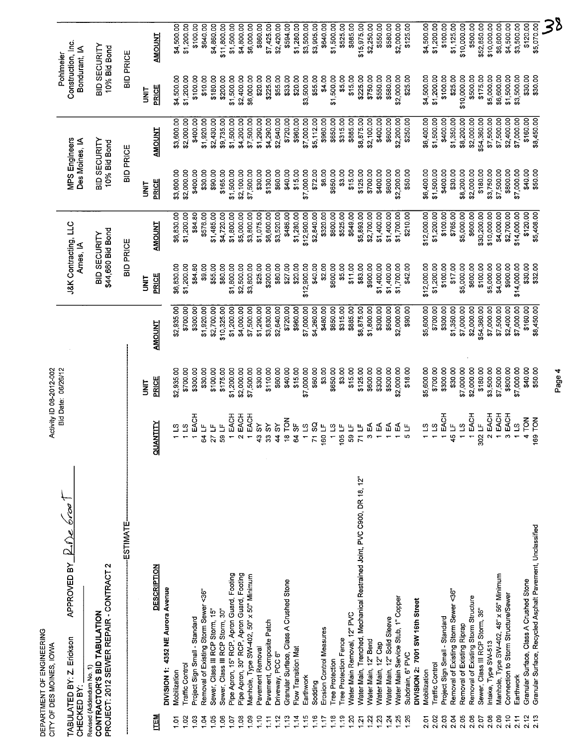|               | DEPARTMENT OF ENGINEERING<br>CITY OF DES MOINES, IOWA                                                                                      |        |                                                     | Activity ID 08-2012-002  |                          |                                   |                           |                                 |                          |                                                  |                           |
|---------------|--------------------------------------------------------------------------------------------------------------------------------------------|--------|-----------------------------------------------------|--------------------------|--------------------------|-----------------------------------|---------------------------|---------------------------------|--------------------------|--------------------------------------------------|---------------------------|
|               | APPROVED BY $\mathbb{E} \mathbb{\Omega}$ $\mathbb{\Omega}$ $\mathbb{\Omega}$ $\mathbb{\Omega}$<br>TABULATED BY: Z. Erickson<br>CHECKED BY: |        |                                                     | Bid Date: 06/26/12       |                          | J&K Contracting, LLC<br>Ames, IA  |                           | MPS Engineers<br>Des Moines, IA |                          | Construction, Inc.<br>Bondurant, IA<br>Pohlmeler |                           |
|               | PROJECT: 2012 SEWER REPAIR - CONTRACT 2<br>CONTRACTOR'S BID TABULATION<br>Revised (Addendum No. 1)                                         |        |                                                     |                          |                          | \$44,660 Bid Bond<br>BID SECURITY |                           | BID SECURITY<br>10% Bid Bond    |                          | BID SECURITY<br>10% Bid Bond                     |                           |
|               | <b>ESTIMATE</b>                                                                                                                            |        |                                                     |                          |                          | <b>BID PRICE</b>                  |                           | BID PRICE                       |                          | <b>BID PRICE</b>                                 |                           |
|               |                                                                                                                                            |        |                                                     | <b>UNIT</b>              |                          | is<br>S                           |                           | i<br>S                          |                          | <b>UNL</b>                                       |                           |
| LTEM          | <b>DESCRIPTION</b>                                                                                                                         | 킼<br>이 | È                                                   | PRICE                    | <b>AMOUNT</b>            | PRICE                             | <b>AMOUNT</b>             | <b>PRICE</b>                    | <b>AMOUNT</b>            | PRICE                                            | <b>AMOUNT</b>             |
|               | DIVISION 1: 4352 NE Aurora Avenue                                                                                                          |        |                                                     |                          |                          |                                   |                           |                                 |                          |                                                  |                           |
| $\frac{5}{1}$ | Mobilization                                                                                                                               |        | ്യ                                                  | \$2,935.00               | \$2,935.00               | \$6,830.00                        | \$6,830.00                | \$3,600.00                      | \$3,600.00               | \$4,500.00                                       | \$4,500.00                |
| 1.02          | <b>Traffic Control</b>                                                                                                                     |        | S,                                                  | \$700.00                 | \$700.00                 | \$1,200.00                        | \$1,200.00                | \$2,000.00                      | \$2,000.00               | \$1,200.00                                       | \$1,200.00                |
| 1.03          | Project Sign Small - Standard                                                                                                              |        | EACH                                                | \$300.00                 | \$300.00                 | \$84.80                           | \$84.80                   | \$400.00                        | \$400.00                 | \$100.00                                         | \$100.00                  |
| 1.05<br>1.04  | Removal of Existing Storm Sewer <36"<br>Sewer, Class III RCP Storm, 15"                                                                    |        | Щ<br>$\overline{a}$<br>2<br>$\overline{z}$          | \$30.00<br>\$100.00      | \$1,920.00<br>\$2,700.00 | \$9.00<br>\$55.00                 | \$576.00<br>\$1,485.00    | \$30.00<br>\$90.00              | \$1,920.00<br>\$2,430.00 | \$10.00<br>\$180.00                              | \$640.00<br>\$4,860.00    |
| 1.06          | Sewer, Class III RCP Storm, 30"                                                                                                            |        | $\mathbf{H}$<br>္တ                                  | \$175.00                 | \$10,325.00              | \$80.00                           | \$4,720.00                | \$165.00                        | \$9,735.00               | \$200.00                                         | \$11,800.00               |
| 1.07          |                                                                                                                                            |        | EACH                                                | \$1,200.00               | \$1,200.00               | \$1,800.00                        | \$1,800.00                | \$1,500.00                      | \$1,500.00               | \$1,500.00                                       | \$1,500.00                |
| 1.08          | Pipe Apron, 15" RCP, Apron Guard, Footing<br>Pipe Apron, 30" RCP, Apron Guard, Footing                                                     |        | EACH                                                | \$2,000.00               | \$4,000.00               | \$2,500.00                        | \$5,000.00                | \$2,100.00                      | \$4,200.00               | \$2,400.00                                       | \$4,800.00                |
| 1.09          | Manhole, Type SW-402, 50" x 50" Minimum                                                                                                    |        | EACH                                                | \$7,500.00               | \$7,500.00               | \$3,800.00                        | \$3,800.00                | \$7,500.00                      | \$7,500.00               | \$6,000.00                                       | \$6,000.00                |
| 1.10          | Pavement Removal                                                                                                                           |        | ŠΥ<br>ੜ੍ਹ                                           | \$30.00                  | \$1,290.00               | \$25.00                           | \$1,075.00                | \$30.00                         | \$1,290.00               | \$20.00                                          | \$860.00                  |
| 1.12<br>1.11  | Pavement, Composite Patch<br>Driveway, PCC 6"                                                                                              |        | $\delta$<br>$\delta$<br>s<br>$\boldsymbol{\hat{A}}$ | \$110.00<br>\$60.00      | \$3,630.00<br>\$2,640.00 | \$80.00<br>\$200.00               | \$6,600.00<br>\$3,520.00  | \$130.00<br>\$60.00             | \$4,290.00<br>\$2,640.00 | \$225.00<br>\$55.00                              | \$2,420.00<br>\$7,425.00  |
| 1.13          | Granular Surface, Class A Crushed Stone                                                                                                    |        | TON<br>္ဗ                                           | \$40.00                  | \$720.00                 | \$27.00                           | \$486.00                  | \$40.00                         | \$720.00                 | \$33.00                                          | \$594.00                  |
| 1.14          | Flow Transition Mat                                                                                                                        |        | 55<br>ଌ                                             | \$15.00                  | \$960.00                 | \$20.00                           | \$1,280.00                | \$15.00                         | \$960.00                 | \$20.00                                          | \$1,280.00                |
| 1.15          | Earthwork                                                                                                                                  |        | $\mathfrak{L}$                                      | \$7,000.00               | \$7,000.00               | \$12,900.00                       | \$12,900.00               | \$7,000.00                      | \$7,000.00               | \$3,500.00                                       | \$3,500.00                |
| 1.16          | Sodding                                                                                                                                    |        | SQ<br>$\mathbf{L}$<br>$\mathbf{r}$                  | \$60.00                  | \$4,260.00               | \$40.00                           | \$2,840.00                | \$72.00                         | \$5,112.00               | \$55.00                                          | \$3,905.00                |
| 1.18<br>1.17  | Erosion Control Measures<br><b>Tree Protection</b>                                                                                         |        | $\mathbf{S}$<br>16C                                 | \$3.00<br>\$650.00       | \$650.00<br>\$480.00     | \$2.00<br>\$600.00                | \$320.00<br>\$600.00      | \$6.00<br>\$650.00              | \$650.00<br>\$960.00     | \$1,500.00<br>\$4.00                             | \$640.00<br>\$1,500.00    |
| 1.19          | Tree Protection Fence                                                                                                                      |        | ୳<br>ë                                              | \$3.00                   | \$315.00                 | \$5.00                            | \$525.00                  | \$3.00                          | \$315.00                 | \$5.00                                           | \$525.00                  |
| 1.20          | Water Main Removal, 12" PVC                                                                                                                |        | 느<br>ន ភ                                            | \$15.00                  | \$885.00                 | 31.00                             | \$649.00                  | \$15.00                         | \$885.00                 | \$15.00                                          | \$885.00                  |
| 1.21          | Water Main, Trenched, Mechanical Restrained Joint, PVC C900, DR 18, 12"                                                                    |        | 凸                                                   | \$125.00                 | \$8,875.00               | \$83.00                           | \$5,893.00                | \$125.00                        | \$8,875.00               | \$225.00                                         | \$15,975.00               |
| 1.22          | Water Main, 12" Bend                                                                                                                       |        | 5<br>5                                              | \$300.00<br>\$600.00     | \$300.00<br>\$1,800.00   | \$1,400.00<br>\$900.00            | \$2,700.00                | \$700.00<br>\$400.00            | \$2,100.00               | \$75000                                          | \$2,250.00                |
| 1.23<br>1.24  | Water Main, 12" Solid Sleeve<br>Water Main, 12" Cap                                                                                        |        | Ъ                                                   | \$500.00                 | \$500.00                 | \$1,400.00                        | \$1,400.00<br>\$1,400.00  | \$600.00                        | \$400.00<br>\$600.00     | \$550.00<br>\$580.00                             | \$550.00<br>\$580.00      |
| 1.25          | Water Main Service Stub, 1" Copper                                                                                                         |        | ิษ์                                                 | \$2,000.00               | \$2,000.00               | \$1,700.00                        | \$1,700.00                | \$2,200.00                      | \$2,200.00               | \$2,000.00                                       | \$2,000.00                |
| 1.26          | Subdrain, 6" PVC                                                                                                                           |        | ڻا                                                  | \$18.00                  | \$90.00                  | \$42.00                           | \$210.00                  | \$50.00                         | \$250.00                 | \$25.00                                          | \$125.00                  |
|               | DIVISION 2: 7001 SW 16th Street                                                                                                            |        |                                                     |                          |                          |                                   |                           |                                 |                          |                                                  |                           |
| 2.02<br>2.01  | Traffic Control<br>Mobilization                                                                                                            |        | $\frac{1}{2}$<br>S)                                 | \$5,600.00<br>\$700.00   | \$5,600.00<br>\$700.00   | \$12,000.00<br>\$1,200.00         | \$12,000.00<br>\$1,200.00 | \$6,400.00<br>\$1,500.00        | \$6,400.00<br>\$1,500.00 | \$4,500.00<br>\$1,200.00                         | \$4,500.00<br>\$1,200.00  |
| 2.03          | Project Sign Small - Standard                                                                                                              |        | EACH                                                | \$300.00                 | \$300.00                 | \$100.00                          | \$100.00                  | \$400.00                        | \$400.00                 | \$100.00                                         | \$100.00                  |
| 2.04          | Removal of Existing Storm Sewer <36"                                                                                                       |        | $\overline{B}$<br>₩                                 | \$30.00                  | \$1,350.00               | \$17.00                           | \$765.00                  | \$30.00                         | \$1,350.00               | \$25.00                                          | \$1,125.00                |
| 2.05          | Removal of Existing Riprap                                                                                                                 |        | <u>က</u>                                            | \$7,000.00               | \$7,000.00               | \$5,000.00                        | \$5,000.00                | \$8,200.00                      | \$8,200.00               | \$10,000.00                                      | \$10,000.00               |
| 2.06          | Removal of Existing Storm Structure                                                                                                        |        | EACH                                                | \$2,000.00               | \$2,000.00               | \$600.00                          | \$600.00                  | \$2,000.00                      | \$2,000.00               | \$500.00                                         | \$500.00                  |
| 2.07          | Sewer, Class III RCP Storm, 36'                                                                                                            |        | EACH<br>$\overline{\mathbf{B}}$<br>$\frac{302}{20}$ | \$180.00                 | \$54,360.00              | \$100.00                          | \$30,200.00               | \$180.00                        | \$54,360.00              | \$175.00                                         | \$52,850.00               |
| 2.08<br>2.09  | Manhole, Type SW-402, 48" x 56" Minimum<br>Intake, Type SW-513                                                                             |        | EACH                                                | \$7,500.00<br>\$3,500.00 | \$7,500.00<br>\$7,000.00 | \$5,000.00<br>\$4,000.00          | \$10,000.00<br>\$4,000.00 | \$3,750.00<br>\$7,500.00        | \$7,500.00<br>\$7,500.00 | \$5,000.00<br>\$6,600.00                         | \$10,000.00<br>\$6,600.00 |
| 2.10          | Connection to Storm Structure/Sewer                                                                                                        |        | EACH                                                | \$800.00                 | \$2,400.00               | \$900.00                          | \$2,700.00                | \$800.00                        | \$2,400.00               | \$1,500.00                                       | \$4,500.00                |
| 2.11          | Earthwork                                                                                                                                  |        | <u>ဟ</u>                                            | \$7,000.00               | \$7,000.00               | \$14,000.00                       | \$14,000.00               | \$7,000.00                      | \$7,000.00               | \$3,500.00                                       | \$3,500.00                |
| 2.12          | Granular Surface, Class A Crushed Stone                                                                                                    |        | $\overline{5}$                                      | \$40.00                  | \$160.00                 | \$30.00                           | \$120.00                  | \$40.00                         | \$160.00                 | \$30.00                                          | \$120.00                  |
| 2.13          | Granular Surface, Recycled Asphalt Pavement, Unclassified                                                                                  |        | $\frac{8}{5}$<br>165                                | \$50.00                  | \$8,450.00               | \$32.00                           | \$5,408.00                | \$50.00                         | \$8,450.00               | \$30.00                                          | \$5,070.00                |
|               |                                                                                                                                            |        |                                                     | Page 4                   |                          |                                   |                           |                                 |                          |                                                  | 38                        |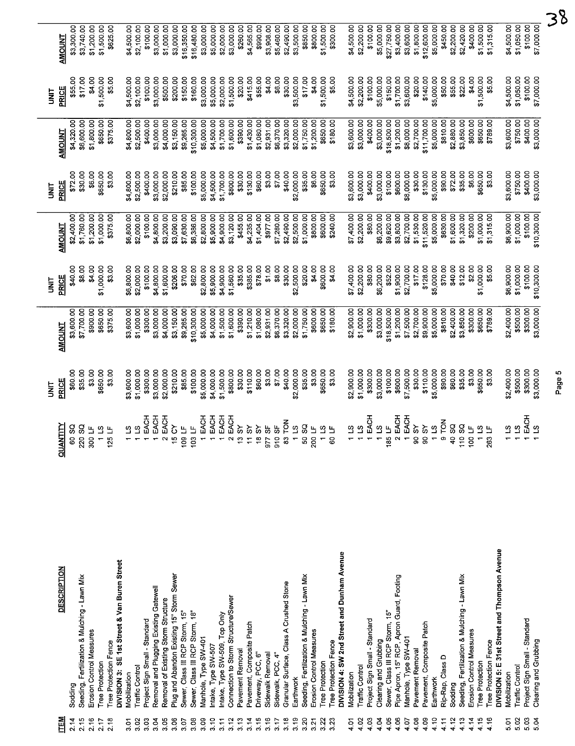|              |                                               |                                     | 늘<br>3             |                      | i<br>3               |                        | i<br>S             |                      | i<br>N               |                        |
|--------------|-----------------------------------------------|-------------------------------------|--------------------|----------------------|----------------------|------------------------|--------------------|----------------------|----------------------|------------------------|
| <b>ITEM</b>  | <b>DESCRIPTION</b>                            | <b>QUANTITY</b>                     | PRICE              | <b>AMOUNT</b>        | <b>PRICE</b>         | <b>AMOUNT</b>          | <b>PRICE</b>       | <b>AMOUNT</b>        | PRICE                | <b>AMOUNT</b>          |
| 2.14         | Sodding                                       | 60 SQ                               | \$60.00            | \$3,600.00           | \$40.00              | \$2,400.00             | \$72.00            | \$4,320.00           | \$55.00              | \$3,300.00             |
| 2.15         | Seeding, Fertilization & Mulching - Lawn Mix  | ន =<br>220                          | \$35.00            | \$7,700.00           | \$8.00               | \$1,760.00             | \$30.00            | \$6,600.00           | \$17.00              | \$3,740.00             |
| 2.16         | Erosion Control Measures<br>Tree Protection   | 300                                 | \$3.00             | \$900.00             | \$4.00               | \$1,200.00             | \$6.00             | \$1,800.00           | \$4.00               | \$1,200.00             |
| 2.18<br>2.17 | Tree Protection Fence                         | $\overline{\mathbf{c}}$<br>当<br>125 | \$650.00<br>\$3.00 | \$650.00<br>\$375.00 | \$1,000.00<br>\$3.00 | \$1,000.00<br>\$375.00 | \$650.00<br>\$3.00 | \$650.00<br>\$375.00 | \$1,500.00<br>\$5.00 | \$1,500.00<br>\$625.00 |
|              | DIVISION 3: SE 1st Street & Van Buren Street  |                                     |                    |                      |                      |                        |                    |                      |                      |                        |
| έğ           | Mobilization                                  | S.                                  | \$3,600.00         | \$3,600.00           | \$6,800.00           | \$6,800.00             | \$4,800.00         | \$4,800.00           | \$4,500.00           | \$4,500.00             |
| 3.02         | Traffic Control                               | ၯ                                   | \$1,000.00         | \$1,000.00           | \$2,000.00           | \$2,000.00             | \$2,500.00         | \$2,500.00           | \$2,100.00           | \$2,100.00             |
| 3.03         | Project Sign Small - Standard                 | <b>EACH</b>                         | \$300.00           | \$300.00             | \$100.00             | \$100.00               | \$400.00           | \$400.00             | \$100.00             | \$100.00               |
| 3.04         | Removal and Plugging Existing Gatewell        | EACH                                | \$3,000.00         | \$3,000.00           | \$4,800.00           | \$4,800.00             | \$3,000.00         | \$3,000.00           | \$3,000.00           | \$3,000.00             |
| 3.05         | Removal of Existing Storm Structure           | EACH                                | \$2,000.00         | \$4,000.00           | \$1,600.00           | \$3,200.00             | \$2,000.00         | \$4,000.00           | \$500.00             | \$1,000.00             |
| 3.06         | Plug and Abandon Existing 15" Storm Sewer     | δ<br>₩                              | \$210.00           | \$3,150.00           | \$206.00             | \$3,090.00             | \$210.00           | \$3,150.00           | \$200.00             | \$3,000.00             |
| 3.07         | Sewer, Class III RCP Storm, 15"               | Е<br>$rac{6}{5}$                    | \$85.00            | \$9,265.00           | \$70.00              | \$7,630.00             | \$85.00            | \$9,265.00           | \$150.00             | \$16,350.00            |
| 3.08         | Sewer, Class III RCP Storm, 18"               | Ш<br>Ş,                             | \$100.00           | \$10,300.00          | \$62.00              | \$6,386.00             | \$100.00           | \$10,300.00          | \$160.00             | \$16,480.00            |
| 3.09         | Manhole, Type SW-401                          | EACH                                | \$5,000.00         | \$5,000.00           | \$2,800.00           | \$2,800.00             | \$5,000.00         | \$5,000.00           | \$3,000.00           | \$3,000.00             |
| 3.10         | Intake, Type SW-507                           | EACH                                | \$4,000.00         | \$4,000.00           | \$5,900.00           | \$5,900.00             | \$4,500.00         | \$4,500.00           | \$5,000.00           | \$5,000.00             |
| 3.11         | Intake, Type SW-509, Top Only                 | EACH                                | \$1,500.00         | \$1,500.00           | \$4,900.00           | \$4,900.00             | \$1,700.00         | \$1,700.00           | \$2,000.00           | \$2,000.00             |
| 3.12         | Connection to Storm Structure/Sewer           | EACH                                | \$800.00           | \$1,600.00           | \$1,560.00           | \$3,120.00             | \$800.00           | \$1,600.00           | \$1,500.00           | \$3,000.00             |
| 3.13         | Pavement Removal                              | ξ,<br>÷,                            | \$30.00            | \$390.00             | \$35.00              | \$455.00               | \$30.00            | \$390.00             | \$20.00              | \$260.00               |
| 3.14         | Pavement, Composite Patch                     | ಜ<br>Ξ                              | \$110.00           | \$1,210.00           | \$385.00             | \$4,235.00             | \$130.00           | \$1,430.00           | \$415.00             | \$4,565.00             |
| 3.15         | Driveway, PCC, 6"                             | ૢ<br>٣                              | \$60.00            | \$1,080.00           | \$78.00              | \$1,404.00             | \$60.00            | \$1,080.00           | \$55.00              | \$990.00               |
| 3.16         | Sidewalk Removal                              | မ္တ<br>977<br>016                   | \$3.00             | \$2,931.00           | \$1.00               | \$977.00               | \$3.00             | \$2,931.00           | \$4.00               | \$3,908.00             |
| 3.17         | Sidewalk, PCC, 4"                             | 5F                                  | \$7.00             | \$6,370.00           | \$8.00               | \$7,280.00             | \$7.00             | \$6,370.00           | \$6.00               | \$5,460.00             |
| 3.18         | Granular Surface, Class A Crushed Stone       | $\overline{5}$<br>g                 | \$40.00            | \$3,320.00           | \$30.00              | \$2,490.00             | \$40.00            | \$3,320.00           | \$30.00              | \$2,490.00             |
| 3.19         | Earthwork                                     | $\overline{a}$                      | \$2,000.00         | \$2,000.00           | \$2,500.00           | \$2,500.00             | \$2,000.00         | \$2,000.00           | \$3,500.00           | \$3,500.00             |
| 3.20         | Seeding, Fertilization & Mulching - Lawn Mix  | g<br>č                              | \$35.00            | \$1,750.00           | \$20.00              | \$1,000.00             | \$35.00            | \$1,750.00           | \$17.00              | \$850.00               |
| 3.21         | Erosion Control Measures                      | ୳<br>$\frac{5}{20}$                 | \$3.00             | \$600.00             | \$4.00               | \$800.00               | \$6.00             | \$1,200.00           | \$4.00               | \$800.00               |
| 3.22         | <b>Tree Protection</b>                        | $\Omega$                            | \$650.00           | \$650.00             | \$600.00             | \$600.00               | \$650.00           | \$650.00             | \$1,500.00           | \$1,500.00             |
| 3.23         | <b>Tree Protection Fence</b>                  | ଡ                                   | \$3.00             | \$180.00             | \$4.00               | \$240.00               | \$3.00             | \$180.00             | \$5.00               | \$300.00               |
|              | DIVISION 4: SW 2nd Street and Dunham Avenue   |                                     |                    |                      |                      |                        |                    |                      |                      |                        |
| 4.01         | Mobilization                                  | 31                                  | \$2,900.00         | \$2,900.00           | \$7,400.00           | \$7,400.00             | \$3,600.00         | \$3,600.00           | \$4,500.00           | \$4,500.00             |
| 4.02         | Traffic Control                               | ്വ                                  | \$1,000.00         | \$1,000.00           | \$2,200.00           | \$2,200.00             | \$3,000.00         | \$3,000.00           | \$2,200.00           | \$2,200.00             |
| 4.03         | Project Sign Small - Standard                 | EACH                                | \$300.00           | \$300.00             | \$80.00              | \$80.00                | \$400.00           | \$400.00             | \$100.00             | \$100.00               |
| 4.04         | Clearing and Grubbing                         | ន<br>ភ                              | \$3,000.00         | \$3,000.00           | \$6,200.00           | \$6,200.00             | \$3,000.00         | \$3,000.00           | \$5,000.00           | \$5,000.00             |
| 4.05         | Sewer, Class III RCP Storm, 15"               | 185                                 | \$100.00           | \$18,500.00          | \$52.00              | \$9,620.00             | \$100.00           | \$18,500.00          | \$150.00             | \$27,750.00            |
| 4.06         | Pipe Apron, 15" RCP, Apron Guard, Footing     | EACH                                | \$600.00           | \$1,200.00           | \$1,900.00           | \$3,800.00             | \$600.00           | \$1,200.00           | \$1,700.00           | \$3,400.00             |
| 4.07         | Manhole, Type SW-401                          | EACH                                | \$7,500.00         | \$7,500.00           | \$2,700.00           | \$2,700.00             | \$8,000.00         | \$8,000.00           | \$3,600.00           | \$3,600.00             |
| 4.08         | Pavement Removal                              | $\delta$<br>ട് ട്                   | \$30.00            | \$2,700.00           | \$17.00              | \$1,530.00             | \$30.00            | \$2,700.00           | \$20.00              | \$1,800.00             |
| 4.09         | Pavement, Composite Patch                     | ৯                                   | \$110.00           | \$9,900.00           | \$128.00             | \$11,520.00            | \$130.00           | \$11,700.00          | \$140.00             | \$12,600.00            |
| 4.10         | Earthwork                                     | $\mathfrak{L}$                      | \$5,000.00         | \$5,000.00           | \$5,000.00           | \$5,000.00             | \$5,000.00         | \$5,000.00           | \$5,000.00           | \$5,000.00             |
| 4.11         | Rip-Rap, Class D                              | $\overline{5}$                      | \$90.00            | \$810.00             | \$70.00              | \$630.00               | \$90.00            | \$810.00             | \$50.00              | \$450.00               |
| 4.12         | Sodding                                       | SO,<br>$\tilde{t}$                  | \$60.00            | \$2,400.00           | \$40.00              | \$1,600.00             | \$72.00            | \$2,880.00           | \$55.00              | \$2,200.00             |
| 4.13         | Seeding, Fertilization & Mulching - Lawn Mix  | SQ<br>11                            | \$35.00            | \$3,850.00           | \$12.00              | \$1,320.00             | \$35.00            | \$3,850.00           | \$22.00              | \$2,420.00             |
| 4.14         | Erosion Control Measures                      | $\overline{u}$<br>ģ                 | \$3.00             | \$300.00             | \$2.00               | \$200.00               | \$6.00             | \$600.00             | \$4.00               | \$400.00               |
| 4.15         | Tree Protection                               | 요 H                                 | \$650.00           | \$650.00             | \$1,000.00           | \$1,000.00             | \$650.00           | \$650.00             | \$1,500.00           | \$1,500.00             |
| 4.16         | Tree Protection Fence                         | $\frac{25}{3}$                      | \$3.00             | \$789.00             | \$5.00               | \$1,315.00             | \$3.00             | \$789.00             | \$5.00               | \$1,315.00             |
|              | DIVISION 5: E 31st Street and Thompson Avenue |                                     |                    |                      |                      |                        |                    |                      |                      |                        |
| 5.01         | Mobilization                                  | $\overline{a}$                      | \$2,400.00         | \$2,400.00           | \$6,900.00           | \$6,900.00             | \$3,600.00         | \$3,600.00           | \$4,500.00           | \$4,500.00             |
| 5.02         | <b>Traffic Control</b>                        | ്                                   | \$500.00           | \$500.00             | \$1,000.00           | \$1,000.00             | \$750.00           | \$750.00             | \$1,050.00           | \$1,050.00             |
| 5.03         | Project Sign Small - Standard                 | <b>EACH</b>                         | \$300.00           | \$300.00             | \$100.00             | \$100.00               | \$400.00           | \$400.00             | \$100.00             | \$100.00               |
| 5.04         | Clearing and Grubbing                         | ്യ                                  | \$3,000.00         | \$3,000.00           | \$10,300.00          | \$10,300.00            | \$3,000.00         | \$3,000.00           | \$7,000.00           | \$7,000.00             |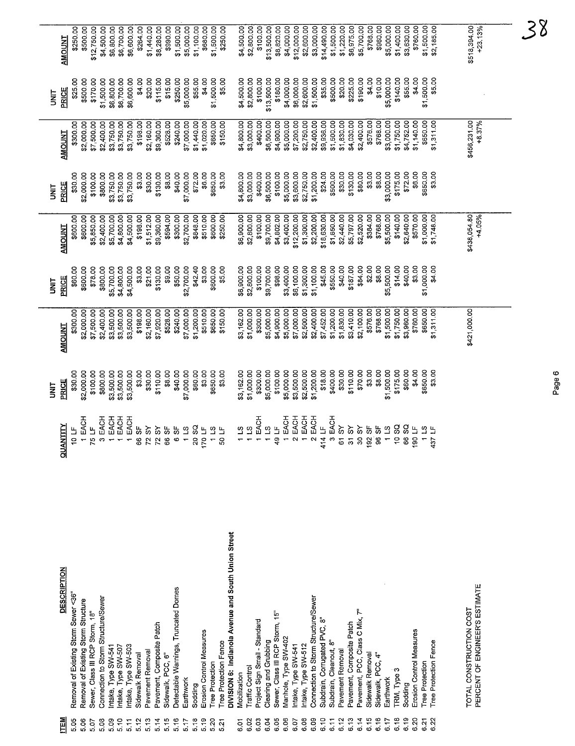|            | <b>AMOUNT</b>      | \$250.00                             | \$500.00                            | \$12,750.00                     | \$4,500.00                          | \$6,800.00<br>\$6,700.00                  | \$6,600.00          | \$264.00         | \$1,440.00                 | \$8,280.00                 | \$990.00          | \$1,500.00                           | \$5,000.00       | \$1,100.00 | \$680.00                 | \$1,500.00             | \$250.00              |                                                     | \$4,500.00   | \$2,800.00      | \$100.00                      | \$13,500.00           | \$8,820.00                      | \$4,000.00           | \$12,000.00         | \$2,600.00          | \$3,000.00                          | \$14,490.00                      | \$1,500.00             | \$1,220.00       | \$6,975.00                | \$5,700.00                     | \$768.00         | \$960.00          | \$5,000.00                              | \$1,400.00         | \$3,630.00 | \$760.00                 | \$1,500.00                                          | \$2,185.00            | \$518,394.00            | $+23.13%$                      |  |
|------------|--------------------|--------------------------------------|-------------------------------------|---------------------------------|-------------------------------------|-------------------------------------------|---------------------|------------------|----------------------------|----------------------------|-------------------|--------------------------------------|------------------|------------|--------------------------|------------------------|-----------------------|-----------------------------------------------------|--------------|-----------------|-------------------------------|-----------------------|---------------------------------|----------------------|---------------------|---------------------|-------------------------------------|----------------------------------|------------------------|------------------|---------------------------|--------------------------------|------------------|-------------------|-----------------------------------------|--------------------|------------|--------------------------|-----------------------------------------------------|-----------------------|-------------------------|--------------------------------|--|
| i<br>N     | PRICE              | \$25.00                              | \$500.00                            | \$170.00                        | \$1,500.00                          | \$6,800.00<br>\$6,700.00                  | \$6,600.00          | \$4.00           | \$20.00                    | \$115.00                   | \$15.00           | \$250.00                             | \$5,000.00       | \$55.00    | \$4.00                   | \$1,500.00             | \$5.00                |                                                     | \$4,500.00   | \$2,800.00      | \$100.00                      | \$13,500.00           | \$180.00                        | \$4,000.00           | \$6,000.00          | \$2,600.00          | \$1,500.00                          | \$35.00                          | \$500.00               | \$20.00          | \$225.00                  | \$190.00                       | \$4.00           | \$10.00           | \$5,000.00                              | \$140.00           | \$55.00    | \$4.00                   | \$1,500.00                                          | \$5.00                |                         |                                |  |
|            | <b>AMOUNT</b>      | \$300.00                             | \$2,000.00                          | \$7,500.00                      | \$2,400.00                          | \$3,750.00<br>\$3,750.00                  | \$3,750.00          | \$198.00         | \$2,160.00                 | \$9,360.00                 | \$528.00          | \$240.00                             | \$7,000.00       | \$1,440.00 | \$1,020.00               | \$650.00               | \$150.00              |                                                     | \$4,800.00   | \$3,000.00      | \$400.00                      | \$6,500.00            | \$4,900.00                      | \$5,000.00           | \$7,200.00          | \$2,750.00          | \$2,400.00                          | \$9,936.00                       | \$1,500.00             | \$1,830.00       | \$4,030.00                | \$2,400.00                     | \$576.00         | \$768.00          | \$3,000.00                              | \$1,750.00         | \$4,752.00 | \$1,140.00               | \$650.00                                            | \$1,311.00            | \$456,231.00            | $+8.37%$                       |  |
| i<br>3     | PRICE              | \$30.00                              | \$2,000.00                          | \$100.00                        | \$800.00                            | \$3,750.00<br>\$3,750.00                  | \$3,750.00          | \$3.00           | \$30.00                    | \$130.00                   | \$8.00            | \$40.00                              | \$7,000.00       | \$72.00    | \$6.00                   | \$650.00               | \$3.00                |                                                     | \$4,800.00   | \$3,000.00      | \$400.00                      | \$6,500.00            | \$100.00                        | \$5,000.00           | \$3,600.00          | \$2,750.00          | \$1,200.00                          | \$24.00                          | \$500.00               | \$30.00          | \$130.00                  | \$80.00                        | \$3.00           | \$8.00            | \$3,000.00                              | \$175.00           | \$72.00    | \$6.00                   | \$650.00                                            | \$3.00                |                         |                                |  |
|            | <b>AMOUNT</b>      | \$600.00                             | \$600.00                            | \$5,850.00                      | \$2,400.00                          | \$5,700.00<br>\$4,800.00                  | \$4,500.00          | \$198.00         | \$1,512.00                 | \$9,360.00                 | \$594.00          | \$300.00                             | \$2,700.00       | \$848.00   | \$510.00                 | \$600.00               | \$250.00              |                                                     | \$6,900.00   | \$2,800.00      | \$100.00                      | \$9,700.00            | \$4,802.00                      | \$3,400.00           | \$12,200.00         | \$1,300.00          | \$2,200.00                          | \$18,630.00                      | \$1,650.00             | \$2,440.00       | \$5,797.00                | \$2,520.00                     | \$384.00         | \$768.00          | \$5,500.00                              | \$140.00           | \$2,640.00 | \$570.00                 | \$1,000.00                                          | \$1,748.00            | \$438,054.80            | +4.05%                         |  |
| <b>SIX</b> | PRICE              | \$60.00                              | \$600.00                            | \$78.00                         | \$800.00                            | \$4,800.00<br>\$5,700.00                  | \$4,500.00          | \$3.00           | \$21.00                    | \$130.00                   | \$9.00            | \$50.00                              | \$2,700.00       | \$42.40    | \$3.00                   | \$600.00               | \$5.00                |                                                     | \$6,900.00   | \$2,800.00      | \$100.00                      | \$9,700.00            | \$98.00                         | \$3,400.00           | \$6,100.00          | \$1,300.00          | \$1,100.00                          | \$45.00                          | \$550.00               | \$40.00          | \$187.00                  | \$84.00                        | \$2.00           | \$8.00            | \$5,500.00                              | \$14.00            | \$40.00    | \$3.00                   | \$1,000.00                                          | \$4.00                |                         |                                |  |
|            | <b>AMOUNT</b>      | \$300.00                             | \$2,000.00                          | \$7,500.00                      | \$2,400.00                          | \$3,500.00<br>\$3,500.00                  | \$3,500.00          | \$198.00         | \$2,160.00                 | \$7,920.00                 | \$528.00          | \$240.00                             | \$7,000.00       | \$1,200.00 | \$510.00                 | \$650.00               | \$150.00              |                                                     | \$3,162.00   | \$1,000.00      | \$300.00                      | \$5,000.00            | \$4,900.00                      | \$5,000.00           | \$7,000.00          | \$2,500.00          | \$2,400.00                          | \$7,452.00                       | \$1,200.00             | \$1,830.00       | \$3,410.00                | \$2,100.00                     | \$576.00         | \$768.00          | \$1,500.00                              | \$1,750.00         | \$3,960.00 | \$760.00                 | \$650.00                                            | \$1,311.00            | \$421,000.00            |                                |  |
| i<br>N     | PRICE              | \$30.00                              | \$2,000.00                          | \$100.00                        | \$800.00                            | \$3,500.00<br>\$3,500.00                  | \$3,500.00          | \$3.00           | \$30.00                    | \$110.00                   | \$8.00            | \$40.00                              | \$7,000.00       | \$60.00    | \$3.00                   | \$650.00               | \$3.00                |                                                     | \$3,162.00   | \$1,000.00      | \$300.00                      | \$5,000.00            | \$100.00                        | \$5,000.00           | \$3,500.00          | \$2,500.00          | \$1,200.00                          | \$18.00                          | \$400.00               | \$30.00          | \$110.00                  | \$70.00                        | \$3.00           | \$8,00            | \$1,500.00                              | \$175.00           | \$60.00    | \$4.00                   | \$650.00                                            | \$3.00                |                         |                                |  |
|            | QUANTITY           | ۳i<br>۱۵                             | 1 EACH                              | Ľ<br>Ю                          | EACH<br>Ø                           | EACH<br>EACH                              | EACH                | 55<br>SS.        | ৯<br>$\tilde{\mathcal{L}}$ | $\delta$<br>$\overline{r}$ | 55<br>ൠ           | မ္တ<br>$\boldsymbol{\omega}$         | $1\overline{13}$ | SQ<br>ន្ល  | $170 \text{ LF}$         | $\frac{1}{2}$<br>So LF | ន្ត                   |                                                     | <u>က</u>     | $\overline{a}$  | EACH                          | $\overline{3}$        | $\overline{a}$<br>Q,            | EACH                 | EACH<br>Z           | EACH                | EACH<br>$\sim$                      | $\overline{a}$<br>$\vec{z}$<br>근 | EACH<br>$\infty$       | $\delta$<br>61   | ें<br>$\overline{3}$      | $\delta$<br><u>င</u> ္က        | ხ<br>192         | 55<br>8           | $\overline{\mathbf{c}}$<br>$\leftarrow$ | S<br>$\Omega$      | SQ<br>စ္က  | $\mathbf{u}$<br>190      | $\overline{\mathbf{c}}$<br>$\overline{\phantom{0}}$ | 出<br>437              |                         |                                |  |
|            |                    |                                      |                                     |                                 |                                     |                                           |                     |                  |                            |                            |                   |                                      |                  |            |                          |                        |                       |                                                     |              |                 |                               |                       |                                 |                      |                     |                     |                                     |                                  |                        |                  |                           |                                |                  |                   |                                         |                    |            |                          |                                                     |                       |                         |                                |  |
|            | <b>DESCRIPTION</b> | Removal of Existing Storm Sewer <36" |                                     |                                 |                                     |                                           |                     |                  |                            |                            |                   | Detectable Warnings, Truncated Domes |                  |            |                          |                        |                       | DIVISION 6: Indianola Avenue and South Union Street |              |                 |                               |                       |                                 |                      |                     |                     |                                     |                                  |                        |                  |                           |                                |                  |                   |                                         |                    |            |                          |                                                     |                       |                         | PERCENT OF ENGINEER'S ESTIMATE |  |
|            |                    |                                      | Removal of Existing Storm Structure | Sewer, Class III RCP Storm, 18" | Connection to Storm Structure/Sewer | ntake, Type SW-541<br>Intake, Type SW-507 | Intake, Type SW-503 | Sidewalk Removal | Pavement Removal           | Pavement, Composite Patch  | Sidewalk, PCC, 6" |                                      | Earthwork        | Sodding    | Erosion Control Measures | Tree Protection        | Tree Protection Fence |                                                     | Mobilization | Traffic Control | Project Sign Small - Standard | Clearing and Grubbing | Sewer, Class III RCP Storm, 15' | Manhole, Type SW-402 | Intake, Type SW-541 | Intake, Type SW-512 | Connection to Storm Structure/Sewer | Subdrain, Corrugated PVC, 8"     | Subdrain, Cleanout, 8" | Pavement Removal | Pavement, Composite Patch | Pavement, PCC, Class C Mix, 7" | Sidewalk Removal | Sidewalk, PCC, 4" | Earthwork                               | <b>TRM, Type 3</b> | Sodding    | Erosion Control Measures | Tree Protection                                     | Tree Protection Fence | TOTAL CONSTRUCTION COST |                                |  |
|            | <b>ITEM</b>        | 5.05                                 | 5.06                                | 5.07                            | 5.08                                | 5.09<br>5.10                              | 5.11                | 5.12             | 5.13                       | 5.14                       | 5.15              | 5.16                                 | 5.17             | 5.18       | 5.19                     | 5.20                   | 521                   |                                                     | ς<br>2       | 6.02            | 6.03                          | 6.04                  | 6.05                            | 6.06                 | 6.07                | 6.08                | 6.09                                | 6.10                             | 6.11                   | 6.12             | 6.13                      | 6.14                           | 6.15             | 6.16              | 6.17                                    | 6.18               | 6.19       | 6.20                     | 6.21                                                | 6.22                  |                         |                                |  |

 $-38$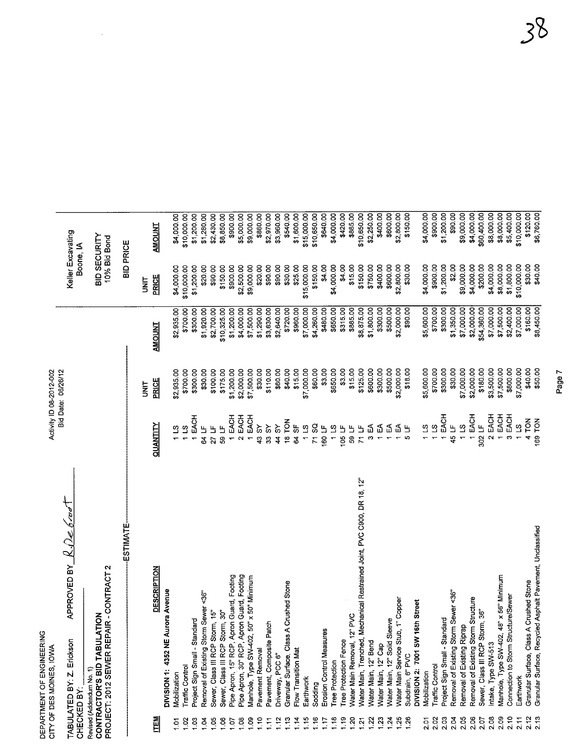|                  | DEPARTMENT OF ENGINEERING<br>CITY OF DES MOINES, IOWA                                              |                                                                         |                   | Activity ID 08-2012-002 |                          |                                |                           |
|------------------|----------------------------------------------------------------------------------------------------|-------------------------------------------------------------------------|-------------------|-------------------------|--------------------------|--------------------------------|---------------------------|
| CHECKED BY:      | Erickson<br>TABULATED BY: Z.                                                                       | APPROVED BY $R\Omega$                                                   |                   | Bid Date: 06/26/12      |                          | Keller Excavating<br>Boone, IA |                           |
|                  | PROJECT: 2012 SEWER REPAIR - CONTRACT 2<br>CONTRACTOR'S BID TABULATION<br>Revised (Addendum No. 1) |                                                                         |                   |                         |                          | BID SECURITY<br>10% Bid Bond   |                           |
|                  |                                                                                                    | <b>ESTIMATE</b>                                                         |                   |                         |                          | <b>BID PRICE</b>               |                           |
|                  |                                                                                                    |                                                                         |                   | <b>TE</b>               |                          | <b>TIML</b>                    |                           |
| <b>ITEM</b>      |                                                                                                    | <b>DESCRIPTION</b>                                                      | QUANTITY          | <b>PRICE</b>            | <b>TNUOMA</b>            | PRICE                          | <b>AMOUNT</b>             |
|                  | DIVISION 1: 4352 NE                                                                                | Aurora Avenue                                                           |                   |                         |                          |                                |                           |
| ្ទ               | Mobilization                                                                                       |                                                                         | 11S               | \$2,935.00              | \$2,935.00               | \$4,000.00                     | \$4,000.00                |
| 1.03<br>1.02     | Project Sign Small - Standard<br>Traffic Control                                                   |                                                                         | 1 EACH<br>11S     | \$700.00<br>\$300.00    | \$300.00<br>\$700.00     | \$1,200.00<br>\$10,000.00      | \$10,000.00<br>\$1,200.00 |
| 1.04             | Removal of Existing Storm Sewer <36"                                                               |                                                                         | 64 LF             | \$30.00                 | \$1,920.00               | \$20,00                        | \$1,280.00                |
| 1.05             | Sewer, Class III RCP Storm, 15"                                                                    |                                                                         | 27 LF             | \$100.00                | \$2,700.00               | \$90.00                        | \$2,430.00                |
| 1,06             | Sewer, Class III RCP Storm, 30"                                                                    |                                                                         | 59 LF             | \$175.00                | \$10,325.00              | \$150.00                       | \$8,850.00                |
| 10.1             | Pipe Apron, 15" RCP, Apron Guard, Footing<br>Pipe Apron, 30" RCP, Apron Guard, Footing             |                                                                         | 1 EACH            | \$1,200.00              | \$1,200.00               | \$900.00                       | \$900.00                  |
| 1.08             |                                                                                                    |                                                                         | 2 EACH            | \$2,000.00              | \$4,000.00               | \$2,500.00<br>\$9,000.00       | \$5,000.00                |
| $\frac{8}{1}$    | Manhole, Type SW-402,                                                                              | 50" x 50" Minimum                                                       | 1 EACH            | \$7,500.00              | \$7,500.00               |                                | \$9,000.00                |
| 1.10             | Pavement Removal                                                                                   |                                                                         | 43 SY             | \$30.00                 | \$1,290.00               | \$20.00                        | \$860.00                  |
| 1.11             | Pavement, Composite Patch                                                                          |                                                                         | 44 SY<br>33 SY    | \$60.00<br>\$110.00     | \$3,630.00<br>\$2,640.00 | \$90.00<br>\$90.00             | \$3,960.00<br>\$2,970.00  |
| 1.12<br>1.13     | Granular Surface, Class<br>Driveway, PCC 6"                                                        | A Crushed Stone                                                         | 18 TON            | \$40.00                 | \$720.00                 | \$30.00                        | \$540.00                  |
| 1.14             | Flow Transition Mat                                                                                |                                                                         | 64 SF             | \$15.00                 | \$960.00                 | \$25.00                        | \$1,600.00                |
| 1.15             | Earthwork                                                                                          |                                                                         | $1\,13$           | \$7,000.00              | \$7,000.00               | \$15,000.00                    | \$15,000.00               |
| 1.16             | Sodding                                                                                            |                                                                         | 71 SQ             | \$60.00                 | \$4,260.00               | \$150.00                       | \$10,650.00               |
| 1.17             | Erosion Control Measures                                                                           |                                                                         | 160 LF            | \$3.00                  | \$480.00                 | \$4.00                         | \$640.00                  |
| 1.18             | <b>Tree Protection</b>                                                                             |                                                                         | 115               | \$650.00                | \$650,00                 | \$4,000.00                     | \$4,000.00                |
| 1.19             | Tree Protection Fence                                                                              |                                                                         | 105 $LF$<br>59 LF | \$3.00                  | \$315.00                 | \$4.00<br>\$15.00              | \$420.00<br>\$885.00      |
| 1.20<br>1.21     | Water Main Removal, 12" PVC                                                                        | Water Main, Trenched, Mechanical Restrained Joint, PVC C900, DR 18, 12" | 71 LF             | \$15.00<br>\$125.00     | \$885.00<br>\$8,875.00   | \$150.00                       | \$10,650.00               |
| 1.22             | Water Main, 12" Bend                                                                               |                                                                         | $3E$ A            | \$600.00                | \$1,800.00               | \$750.00                       | \$2,250.00                |
| 1.23             | Water Main, 12" Cap                                                                                |                                                                         | ₹                 | \$300.00                | \$300.00                 | \$400.00                       | \$400.00                  |
| 124              | Water Main, 12" Solid Sleeve                                                                       |                                                                         | $\mathfrak{g}$    | \$500.00                | \$500.00                 | \$600.00                       | \$600.00                  |
| 1.25             | Water Main Service Stub, 1" Copper                                                                 |                                                                         | 집 노<br>니          | \$2,000.00              | \$2,000.00               | \$2,800.00                     | \$2,800.00                |
| 1.26             | DIVISION 2: 7001 SW<br>Subdrain, 6" PVC                                                            | 16th Street                                                             |                   | \$18.00                 | \$90.00                  | \$30.00                        | \$150.00                  |
| 2.01             | Mobilization                                                                                       |                                                                         | 211               | \$5,600.00              | \$5,600.00               | \$4,000.00                     | \$4,000.00                |
| 2.02             | Traffic Control                                                                                    |                                                                         | 115               | \$700.00                | \$700.00                 | \$900.00                       | \$900.00                  |
| 2.03             | Project Sign Small - Standard                                                                      |                                                                         | 1 EACH            | \$300.00                | \$300.00                 | \$1,200.00                     | \$1,200.00                |
| 2.04             | Removal of Existing Storm Sewer <36"                                                               |                                                                         | 45 LF             | \$30.00                 | \$1,350.00               | \$2.00                         | \$90.00                   |
| 2.05             | Removal of Existing Riprap                                                                         |                                                                         | $1\,13$           | \$7,000.00              | \$7,000.00               | \$9,000.00                     | \$9,000.00                |
| $2.06$<br>$2.07$ | Removal of Existing Storm Structure                                                                |                                                                         | 1 EACH            | \$2,000.00              | \$2,000.00               | \$4,000.00                     | \$4,000.00                |
|                  | Sewer, Class III RCP Storm, 36"                                                                    |                                                                         | 302 LF            | \$180.00                | \$54,360.00              | \$200.00                       | \$60,400.00               |
| 2.08             | Intake, Type SW-513                                                                                |                                                                         | 2 EACH            | \$3,500.00              | \$7,000.00               | \$4,000.00                     | \$8,000.00                |
| 2.09             | Manhole, Type SW-402, 48" x 56" Minimum                                                            |                                                                         | 1 EACH            | \$7,500.00              | \$7,500.00               | \$8,000.00                     | \$8,000.00                |
| 2.10<br>2.11     | Connection to Storm Structure/Sewer                                                                |                                                                         | 3 EACH<br>11S     | \$800.00<br>\$7,000.00  | \$7,000.00               | \$10,000.00<br>\$1,800.00      | \$10,000.00<br>\$5,400.00 |
| 2.12             | Granular Surface, Class A Crushed Stone<br>Earthwork                                               |                                                                         | 4 TON             | \$40.00                 | \$160.00                 | \$30.00                        | \$120.00                  |
| 2.13             |                                                                                                    | Granular Surface, Recycled Asphalt Pavement, Unclassified               | 169 TON           | \$50.00                 | \$8,450.00               | \$40.00                        | \$6,760.00                |

 $\frac{1}{2}$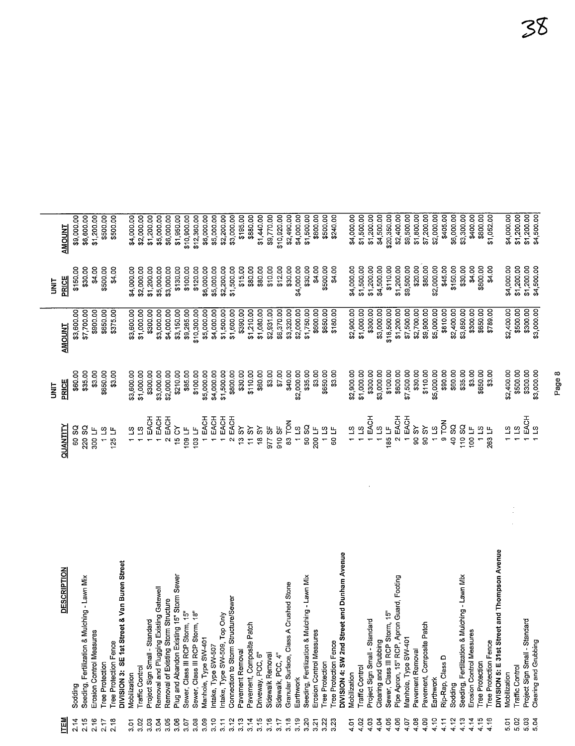| <b>NEN</b>    | <b>DESCRIPTION</b>                                                            | QUANTITY                                                      | PRICE<br><b>TINLI</b> | <b>AMOUNT</b>            | <b>PRICE</b><br>$\frac{1}{2}$ | <b>AMOUNT</b>                |
|---------------|-------------------------------------------------------------------------------|---------------------------------------------------------------|-----------------------|--------------------------|-------------------------------|------------------------------|
| 2.14          | Sodding                                                                       | 60 SQ                                                         | \$60.00               | \$3,600.00               | \$150.00                      | \$9,000.00                   |
| 2.15          | Seeding, Fertilization & Mulching - Lawn Mix                                  | 220 SQ                                                        | \$35.00               | \$7,700.00               | \$30.00                       | \$6,600.00                   |
| 2.16          | Erosion Control Measures                                                      | 300 LF                                                        | \$3.00                | \$900.00                 | \$4.00                        | \$1,200.00                   |
| 2.17          | <b>Tree Protection</b>                                                        | 1 LS                                                          | \$650.00              | \$650.00                 | \$500.00                      | \$500.00                     |
| 2.18          | Tree Protection Fence                                                         | 125 LF                                                        | \$3.00                | \$375.00                 | \$4.00                        | \$500.00                     |
|               | DIVISION 3: SE 1st Street & Van Buren Street                                  |                                                               |                       |                          |                               |                              |
| δ             | Mobilization                                                                  | 11S                                                           | \$3,600.00            | \$3,600.00               | \$4,000.00                    | \$4,000.00                   |
| 3.02          | <b>Traffic Control</b>                                                        | 11S                                                           | \$1,000.00            | \$1,000.00               | \$2,000.00                    | \$2,000.00                   |
| 3.03          | Project Sign Small - Standard                                                 | 1 EACH                                                        | \$300.00              | \$300.00                 | \$1,200.00                    | \$1,200.00                   |
| 3.04          | Removal and Plugging Existing Gatewell                                        | 1 EACH                                                        | \$3,000.00            | \$3,000.00               | \$5,000.00                    | \$5,000.00                   |
| 3.05          | Removal of Existing Storm Structure                                           | 2 EACH                                                        | \$2,000.00            | \$4,000.00               | \$3,000.00                    | \$6,000.00                   |
| 3.06          | Plug and Abandon Existing 15" Storm Sewer                                     | 15 CY                                                         | \$210.00              | \$3,150.00               | \$130.00                      | \$1,950.00                   |
| 3.07          | Sewer, Class III RCP Storm, 15"                                               | 109 LF                                                        | \$85.00               | \$9,265.00               | \$100.00                      | \$10,900.00                  |
| 3.08          | Sewer, Class III RCP Storm, 18"                                               | 103LF                                                         | \$100.00              | \$10,300.00              | \$120.00                      | \$12,360.00                  |
| 3.09          | Manhole, Type SW-401                                                          | 1 EACH                                                        | \$5,000.00            | \$5,000.00               | \$6,000.00                    | \$6,000.00                   |
| 3.10          | Intake, Type SW-507                                                           | 1 EACH                                                        | \$4,000.00            | \$4,000.00               | \$5,000.00                    | \$5,000.00                   |
| 3.11          | Intake, Type SW-509, Top Only                                                 | 1 EACH                                                        | \$1,500.00            | \$1,500.00               | \$2,200.00                    | \$2,200.00                   |
| 3.12          | Connection to Storm Structure/Sewer                                           | 2 EACH                                                        | \$800.00              | \$1,600.00               | \$1,500.00                    | \$3,000.00                   |
| 3.13          | Pavement Removal                                                              | $13SY$                                                        | \$30.00               | \$390.00                 | \$15.00                       | \$195.00                     |
| 3.14          | Pavement, Composite Patch                                                     | $11$ SY                                                       | \$110.00              | \$1,210.00               | \$80.00                       | \$880.00                     |
| 3.15          | Driveway, PCC, 6                                                              | 18 SY                                                         | \$60.00               | \$1,080.00               | \$80.00                       | \$1,440.00                   |
| 3.16          | Sidewalk Removal                                                              | 977 SF                                                        | \$3.00                | \$2,931.00               | \$10.00                       | \$9,770.00                   |
| 3.17          | Sidewalk, PCC, 4"                                                             | 910 <sub>SF</sub>                                             | \$7.00                | \$6,370.00               | \$12.00                       | \$10,920.00                  |
| 3.18          | Granular Surface, Class A Crushed Stone                                       | 83 TON                                                        | \$40.00               | \$3,320.00               | \$30.00                       | \$2,490.00                   |
| 3.19          | Earthwork                                                                     | 11S                                                           | \$2,000.00            | \$2,000.00               | \$4,000.00                    | \$4,000.00                   |
| 3.20          | Seeding, Fertilization & Mulching - Lawn Mix                                  | 50 SQ                                                         | \$35.00               | \$1,750.00               | \$30.00                       | \$1,500.00                   |
| 3.21          | Ģ,<br>Erosion Control Measure                                                 | 200 LF                                                        | \$3.00                | \$600.00                 | \$4.00                        | \$800.00                     |
| 3.22          | <b>Tree Protection</b>                                                        | $\begin{array}{c} 1.13 \\ 50 \text{ }\mathrm{LF} \end{array}$ | \$650.00              | \$650.00                 | \$500.00                      | \$500.00                     |
| 3.23          | Tree Protection Fence                                                         |                                                               | \$3.00                | \$180.00                 | \$4.00                        | \$240.00                     |
|               | DIVISION 4: SW 2nd Street and Dunham Avenue                                   |                                                               |                       |                          |                               |                              |
| $\frac{5}{4}$ | Mobilization                                                                  | 11.5                                                          | \$2,900.00            | \$2,900.00               | \$4,000.00                    | \$4,000.00                   |
| 4.02          | Traffic Control                                                               | 11S                                                           | \$1,000.00            | \$1,000.00               | \$1,500.00                    | \$1,500.00                   |
| 4.03          | Project Sign Small - Standard                                                 | 1 EACH                                                        | \$300.00              | \$300.00                 | \$1,200.00                    | \$1,200.00                   |
| 4.04          | Clearing and Grubbing                                                         | 211                                                           | \$3,000.00            | \$3,000.00               | \$4,500.00                    | \$4,500.00                   |
| 4.05          | Sewer, Class III RCP Storm, 15"                                               | 185 $LF$                                                      | \$100.00              | \$18,500.00              | \$110.00                      | \$20,350.00                  |
| 4.06          | Pipe Apron, 15" RCP, Apron Guard, Footing                                     | 2 EACH                                                        | \$600.00              | \$1,200.00               | \$1,200.00                    | \$2,400.00                   |
| 4.07          | Manhole, Type SW-401<br>Pavement Removal                                      | 1 EACH<br><b>AS 06</b>                                        | \$7,500.00            | \$7,500.00               | \$9,500.00                    | \$9,500.00                   |
| 4.08<br>4.09  | Pavement, Composite Patch                                                     | 90 SY                                                         | \$30.00<br>\$110.00   | \$2,700.00<br>\$9,900.00 | \$20.00<br>\$80.00            | \$1,800.00                   |
| 4.10          | Earthwork                                                                     | 21 <sub>1</sub>                                               | \$5,000.00            | \$5,000.00               | \$2,000.00                    | \$7,200.00                   |
| 4.11          | Rip-Rap, Class D                                                              | 9 TON                                                         | \$90.00               | \$810.00                 | \$45.00                       | \$405.00                     |
|               |                                                                               |                                                               |                       |                          |                               |                              |
| 4.12          | Sodding                                                                       | 40 SQ                                                         | \$60.00               | \$2,400.00               | \$150.00                      | \$6,000.00                   |
| 4.13<br>4.14  | Seeding, Fertilization & Mulching - Lawn Mix<br>Q)<br>Erosion Control Measure | 110 SQ<br>100 LF                                              | \$3.00<br>\$35.00     | \$3,850.00<br>\$300.00   | \$30.00<br>\$4.00             | \$3,300.00<br>\$400.00       |
| 4.15          | <b>Tree Protection</b>                                                        | 11S                                                           | \$650.00              | \$650.00                 | \$800.00                      | \$800.00                     |
| 4.16          | Tree Protection Fence                                                         | 263 LF                                                        | \$3.00                | \$789.00                 | \$4.00                        | \$1,052.00                   |
|               | DIVISION 5: E 31st Street and Thompson Avenue                                 |                                                               |                       |                          |                               |                              |
| 5.01          | Mobilization                                                                  | 11S                                                           | \$2,400.00            | \$2,400.00               | \$4,000.00                    | \$4,000.00                   |
| 5.02          | Traffic Control                                                               | $\overline{3}$                                                | \$500.00              | \$500.00                 | \$1,200.00                    | \$1,200.00                   |
| 5.03          | Project Sign Small - Standard                                                 | EACH                                                          | \$300.00              | \$300.00                 | \$1,200.00                    |                              |
| 5.04          | Clearing and Grubbing                                                         | 11S                                                           | \$3,000.00            | \$3,000.00               | \$4,500.00                    | $$1,200.00]$<br>$$4,500.00]$ |